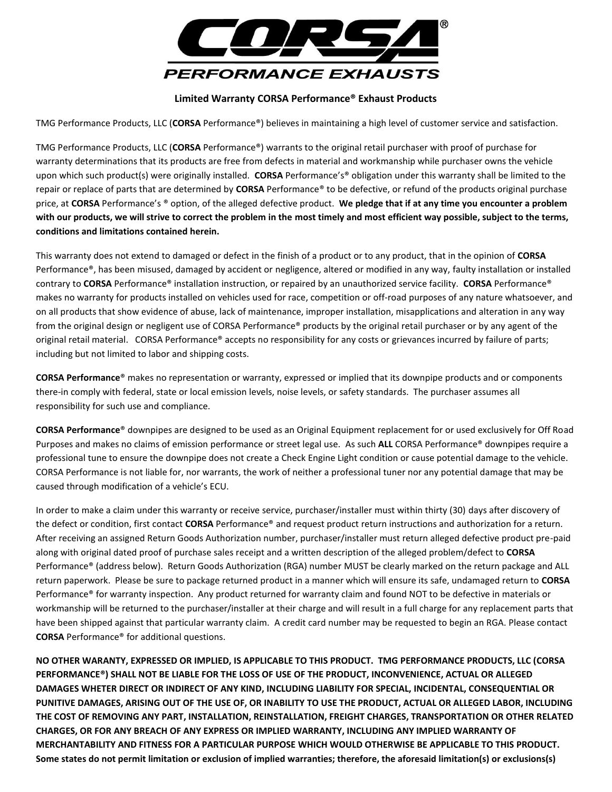

## **Limited Warranty CORSA Performance® Exhaust Products**

TMG Performance Products, LLC (**CORSA** Performance®) believes in maintaining a high level of customer service and satisfaction.

TMG Performance Products, LLC (**CORSA** Performance®) warrants to the original retail purchaser with proof of purchase for warranty determinations that its products are free from defects in material and workmanship while purchaser owns the vehicle upon which such product(s) were originally installed. **CORSA** Performance's® obligation under this warranty shall be limited to the repair or replace of parts that are determined by **CORSA** Performance® to be defective, or refund of the products original purchase price, at **CORSA** Performance's ® option, of the alleged defective product. **We pledge that if at any time you encounter a problem**  with our products, we will strive to correct the problem in the most timely and most efficient way possible, subject to the terms, **conditions and limitations contained herein.**

This warranty does not extend to damaged or defect in the finish of a product or to any product, that in the opinion of **CORSA** Performance®, has been misused, damaged by accident or negligence, altered or modified in any way, faulty installation or installed contrary to **CORSA** Performance® installation instruction, or repaired by an unauthorized service facility. **CORSA** Performance® makes no warranty for products installed on vehicles used for race, competition or off-road purposes of any nature whatsoever, and on all products that show evidence of abuse, lack of maintenance, improper installation, misapplications and alteration in any way from the original design or negligent use of CORSA Performance® products by the original retail purchaser or by any agent of the original retail material. CORSA Performance® accepts no responsibility for any costs or grievances incurred by failure of parts; including but not limited to labor and shipping costs.

**CORSA Performance**® makes no representation or warranty, expressed or implied that its downpipe products and or components there-in comply with federal, state or local emission levels, noise levels, or safety standards. The purchaser assumes all responsibility for such use and compliance.

**CORSA Performance**® downpipes are designed to be used as an Original Equipment replacement for or used exclusively for Off Road Purposes and makes no claims of emission performance or street legal use. As such **ALL** CORSA Performance® downpipes require a professional tune to ensure the downpipe does not create a Check Engine Light condition or cause potential damage to the vehicle. CORSA Performance is not liable for, nor warrants, the work of neither a professional tuner nor any potential damage that may be caused through modification of a vehicle's ECU.

In order to make a claim under this warranty or receive service, purchaser/installer must within thirty (30) days after discovery of the defect or condition, first contact **CORSA** Performance® and request product return instructions and authorization for a return. After receiving an assigned Return Goods Authorization number, purchaser/installer must return alleged defective product pre-paid along with original dated proof of purchase sales receipt and a written description of the alleged problem/defect to **CORSA** Performance® (address below). Return Goods Authorization (RGA) number MUST be clearly marked on the return package and ALL return paperwork. Please be sure to package returned product in a manner which will ensure its safe, undamaged return to **CORSA** Performance® for warranty inspection. Any product returned for warranty claim and found NOT to be defective in materials or workmanship will be returned to the purchaser/installer at their charge and will result in a full charge for any replacement parts that have been shipped against that particular warranty claim. A credit card number may be requested to begin an RGA. Please contact **CORSA** Performance® for additional questions.

**NO OTHER WARANTY, EXPRESSED OR IMPLIED, IS APPLICABLE TO THIS PRODUCT. TMG PERFORMANCE PRODUCTS, LLC (CORSA PERFORMANCE®) SHALL NOT BE LIABLE FOR THE LOSS OF USE OF THE PRODUCT, INCONVENIENCE, ACTUAL OR ALLEGED DAMAGES WHETER DIRECT OR INDIRECT OF ANY KIND, INCLUDING LIABILITY FOR SPECIAL, INCIDENTAL, CONSEQUENTIAL OR PUNITIVE DAMAGES, ARISING OUT OF THE USE OF, OR INABILITY TO USE THE PRODUCT, ACTUAL OR ALLEGED LABOR, INCLUDING THE COST OF REMOVING ANY PART, INSTALLATION, REINSTALLATION, FREIGHT CHARGES, TRANSPORTATION OR OTHER RELATED CHARGES, OR FOR ANY BREACH OF ANY EXPRESS OR IMPLIED WARRANTY, INCLUDING ANY IMPLIED WARRANTY OF MERCHANTABILITY AND FITNESS FOR A PARTICULAR PURPOSE WHICH WOULD OTHERWISE BE APPLICABLE TO THIS PRODUCT. Some states do not permit limitation or exclusion of implied warranties; therefore, the aforesaid limitation(s) or exclusions(s)**